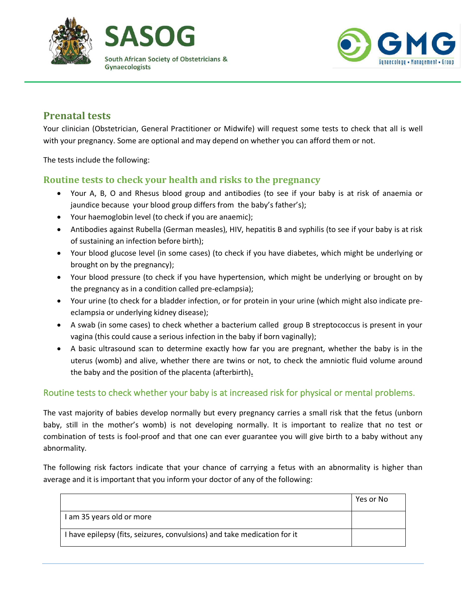





## **Prenatal tests**

Your clinician (Obstetrician, General Practitioner or Midwife) will request some tests to check that all is well with your pregnancy. Some are optional and may depend on whether you can afford them or not.

The tests include the following:

## **Routine tests to check your health and risks to the pregnancy**

- Your A, B, O and Rhesus blood group and antibodies (to see if your baby is at risk of anaemia or jaundice because your blood group differs from the baby's father's);
- Your haemoglobin level (to check if you are anaemic);
- Antibodies against Rubella (German measles), HIV, hepatitis B and syphilis (to see if your baby is at risk of sustaining an infection before birth);
- Your blood glucose level (in some cases) (to check if you have diabetes, which might be underlying or brought on by the pregnancy);
- Your blood pressure (to check if you have hypertension, which might be underlying or brought on by the pregnancy as in a condition called pre-eclampsia);
- Your urine (to check for a bladder infection, or for protein in your urine (which might also indicate preeclampsia or underlying kidney disease);
- A swab (in some cases) to check whether a bacterium called group B streptococcus is present in your vagina (this could cause a serious infection in the baby if born vaginally);
- A basic ultrasound scan to determine exactly how far you are pregnant, whether the baby is in the uterus (womb) and alive, whether there are twins or not, to check the amniotic fluid volume around the baby and the position of the placenta (afterbirth)**.**

## Routine tests to check whether your baby is at increased risk for physical or mental problems.

The vast majority of babies develop normally but every pregnancy carries a small risk that the fetus (unborn baby, still in the mother's womb) is not developing normally. It is important to realize that no test or combination of tests is fool-proof and that one can ever guarantee you will give birth to a baby without any abnormality.

The following risk factors indicate that your chance of carrying a fetus with an abnormality is higher than average and it is important that you inform your doctor of any of the following:

|                                                                          | Yes or No |
|--------------------------------------------------------------------------|-----------|
| I am 35 years old or more                                                |           |
| I have epilepsy (fits, seizures, convulsions) and take medication for it |           |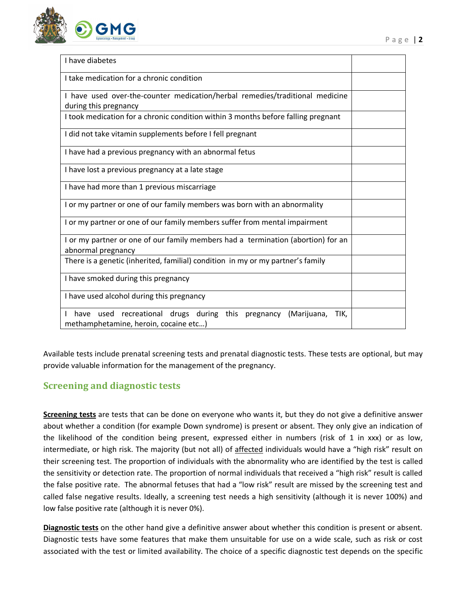

| I have diabetes                                                                                                          |  |
|--------------------------------------------------------------------------------------------------------------------------|--|
| I take medication for a chronic condition                                                                                |  |
| I have used over-the-counter medication/herbal remedies/traditional medicine                                             |  |
| during this pregnancy                                                                                                    |  |
| I took medication for a chronic condition within 3 months before falling pregnant                                        |  |
| I did not take vitamin supplements before I fell pregnant                                                                |  |
| I have had a previous pregnancy with an abnormal fetus                                                                   |  |
| I have lost a previous pregnancy at a late stage                                                                         |  |
| I have had more than 1 previous miscarriage                                                                              |  |
| I or my partner or one of our family members was born with an abnormality                                                |  |
| I or my partner or one of our family members suffer from mental impairment                                               |  |
| I or my partner or one of our family members had a termination (abortion) for an                                         |  |
|                                                                                                                          |  |
| abnormal pregnancy                                                                                                       |  |
| There is a genetic (inherited, familial) condition in my or my partner's family                                          |  |
| I have smoked during this pregnancy                                                                                      |  |
| I have used alcohol during this pregnancy                                                                                |  |
| have used recreational drugs during<br>this<br>pregnancy<br>(Marijuana,<br>TIK,<br>methamphetamine, heroin, cocaine etc) |  |
|                                                                                                                          |  |

Available tests include prenatal screening tests and prenatal diagnostic tests. These tests are optional, but may provide valuable information for the management of the pregnancy.

## **Screening and diagnostic tests**

**Screening tests** are tests that can be done on everyone who wants it, but they do not give a definitive answer about whether a condition (for example Down syndrome) is present or absent. They only give an indication of the likelihood of the condition being present, expressed either in numbers (risk of 1 in xxx) or as low, intermediate, or high risk. The majority (but not all) of affected individuals would have a "high risk" result on their screening test. The proportion of individuals with the abnormality who are identified by the test is called the sensitivity or detection rate. The proportion of normal individuals that received a "high risk" result is called the false positive rate. The abnormal fetuses that had a "low risk" result are missed by the screening test and called false negative results. Ideally, a screening test needs a high sensitivity (although it is never 100%) and low false positive rate (although it is never 0%).

**Diagnostic tests** on the other hand give a definitive answer about whether this condition is present or absent. Diagnostic tests have some features that make them unsuitable for use on a wide scale, such as risk or cost associated with the test or limited availability. The choice of a specific diagnostic test depends on the specific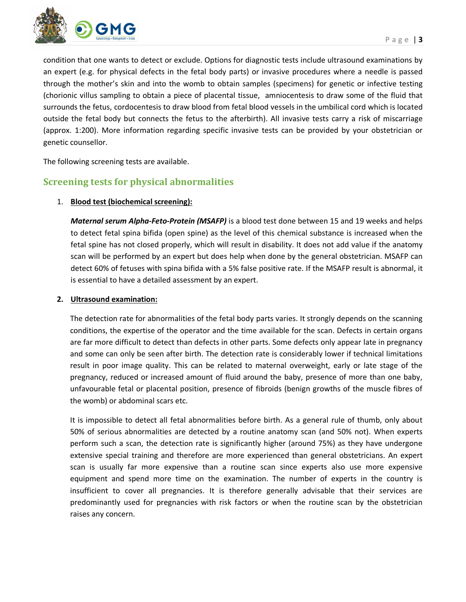

condition that one wants to detect or exclude. Options for diagnostic tests include ultrasound examinations by an expert (e.g. for physical defects in the fetal body parts) or invasive procedures where a needle is passed through the mother's skin and into the womb to obtain samples (specimens) for genetic or infective testing (chorionic villus sampling to obtain a piece of placental tissue, amniocentesis to draw some of the fluid that surrounds the fetus, cordocentesis to draw blood from fetal blood vessels in the umbilical cord which is located outside the fetal body but connects the fetus to the afterbirth). All invasive tests carry a risk of miscarriage (approx. 1:200). More information regarding specific invasive tests can be provided by your obstetrician or genetic counsellor.

The following screening tests are available.

## **Screening tests for physical abnormalities**

#### 1. **Blood test (biochemical screening):**

*Maternal serum Alpha-Feto-Protein (MSAFP)* is a blood test done between 15 and 19 weeks and helps to detect fetal spina bifida (open spine) as the level of this chemical substance is increased when the fetal spine has not closed properly, which will result in disability. It does not add value if the anatomy scan will be performed by an expert but does help when done by the general obstetrician. MSAFP can detect 60% of fetuses with spina bifida with a 5% false positive rate. If the MSAFP result is abnormal, it is essential to have a detailed assessment by an expert.

#### **2. Ultrasound examination:**

The detection rate for abnormalities of the fetal body parts varies. It strongly depends on the scanning conditions, the expertise of the operator and the time available for the scan. Defects in certain organs are far more difficult to detect than defects in other parts. Some defects only appear late in pregnancy and some can only be seen after birth. The detection rate is considerably lower if technical limitations result in poor image quality. This can be related to maternal overweight, early or late stage of the pregnancy, reduced or increased amount of fluid around the baby, presence of more than one baby, unfavourable fetal or placental position, presence of fibroids (benign growths of the muscle fibres of the womb) or abdominal scars etc.

It is impossible to detect all fetal abnormalities before birth. As a general rule of thumb, only about 50% of serious abnormalities are detected by a routine anatomy scan (and 50% not). When experts perform such a scan, the detection rate is significantly higher (around 75%) as they have undergone extensive special training and therefore are more experienced than general obstetricians. An expert scan is usually far more expensive than a routine scan since experts also use more expensive equipment and spend more time on the examination. The number of experts in the country is insufficient to cover all pregnancies. It is therefore generally advisable that their services are predominantly used for pregnancies with risk factors or when the routine scan by the obstetrician raises any concern.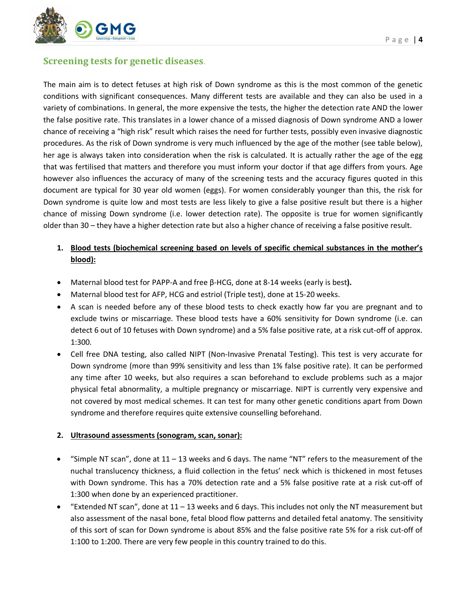

### **Screening tests for genetic diseases.**

The main aim is to detect fetuses at high risk of Down syndrome as this is the most common of the genetic conditions with significant consequences. Many different tests are available and they can also be used in a variety of combinations. In general, the more expensive the tests, the higher the detection rate AND the lower the false positive rate. This translates in a lower chance of a missed diagnosis of Down syndrome AND a lower chance of receiving a "high risk" result which raises the need for further tests, possibly even invasive diagnostic procedures. As the risk of Down syndrome is very much influenced by the age of the mother (see table below), her age is always taken into consideration when the risk is calculated. It is actually rather the age of the egg that was fertilised that matters and therefore you must inform your doctor if that age differs from yours. Age however also influences the accuracy of many of the screening tests and the accuracy figures quoted in this document are typical for 30 year old women (eggs). For women considerably younger than this, the risk for Down syndrome is quite low and most tests are less likely to give a false positive result but there is a higher chance of missing Down syndrome (i.e. lower detection rate). The opposite is true for women significantly older than 30 – they have a higher detection rate but also a higher chance of receiving a false positive result.

### **1. Blood tests (biochemical screening based on levels of specific chemical substances in the mother's blood):**

- Maternal blood test for PAPP-A and free β-HCG, done at 8-14 weeks (early is best**).**
- Maternal blood test for AFP, HCG and estriol (Triple test), done at 15-20 weeks.
- A scan is needed before any of these blood tests to check exactly how far you are pregnant and to exclude twins or miscarriage. These blood tests have a 60% sensitivity for Down syndrome (i.e. can detect 6 out of 10 fetuses with Down syndrome) and a 5% false positive rate, at a risk cut-off of approx. 1:300.
- Cell free DNA testing, also called NIPT (Non-Invasive Prenatal Testing). This test is very accurate for Down syndrome (more than 99% sensitivity and less than 1% false positive rate). It can be performed any time after 10 weeks, but also requires a scan beforehand to exclude problems such as a major physical fetal abnormality, a multiple pregnancy or miscarriage. NIPT is currently very expensive and not covered by most medical schemes. It can test for many other genetic conditions apart from Down syndrome and therefore requires quite extensive counselling beforehand.

#### **2. Ultrasound assessments (sonogram, scan, sonar):**

- "Simple NT scan", done at 11 13 weeks and 6 days. The name "NT" refers to the measurement of the nuchal translucency thickness, a fluid collection in the fetus' neck which is thickened in most fetuses with Down syndrome. This has a 70% detection rate and a 5% false positive rate at a risk cut-off of 1:300 when done by an experienced practitioner.
- "Extended NT scan", done at 11 13 weeks and 6 days. This includes not only the NT measurement but also assessment of the nasal bone, fetal blood flow patterns and detailed fetal anatomy. The sensitivity of this sort of scan for Down syndrome is about 85% and the false positive rate 5% for a risk cut-off of 1:100 to 1:200. There are very few people in this country trained to do this.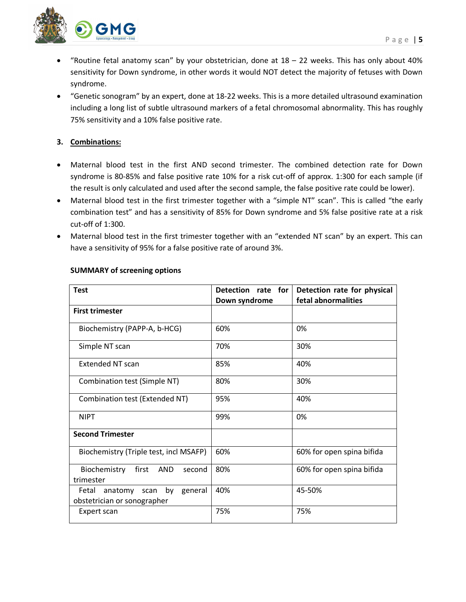

- "Routine fetal anatomy scan" by your obstetrician, done at  $18 22$  weeks. This has only about 40% sensitivity for Down syndrome, in other words it would NOT detect the majority of fetuses with Down syndrome.
- "Genetic sonogram" by an expert, done at 18-22 weeks. This is a more detailed ultrasound examination including a long list of subtle ultrasound markers of a fetal chromosomal abnormality. This has roughly 75% sensitivity and a 10% false positive rate.

### **3. Combinations:**

- Maternal blood test in the first AND second trimester. The combined detection rate for Down syndrome is 80-85% and false positive rate 10% for a risk cut-off of approx. 1:300 for each sample (if the result is only calculated and used after the second sample, the false positive rate could be lower).
- Maternal blood test in the first trimester together with a "simple NT" scan". This is called "the early combination test" and has a sensitivity of 85% for Down syndrome and 5% false positive rate at a risk cut-off of 1:300.
- Maternal blood test in the first trimester together with an "extended NT scan" by an expert. This can have a sensitivity of 95% for a false positive rate of around 3%.

| <b>Test</b>                                                     | Detection rate for | Detection rate for physical |  |  |
|-----------------------------------------------------------------|--------------------|-----------------------------|--|--|
|                                                                 | Down syndrome      | fetal abnormalities         |  |  |
| <b>First trimester</b>                                          |                    |                             |  |  |
| Biochemistry (PAPP-A, b-HCG)                                    | 60%                | 0%                          |  |  |
| Simple NT scan                                                  | 70%                | 30%                         |  |  |
| <b>Extended NT scan</b>                                         | 85%                | 40%                         |  |  |
| Combination test (Simple NT)                                    | 80%                | 30%                         |  |  |
| Combination test (Extended NT)                                  | 95%                | 40%                         |  |  |
| <b>NIPT</b>                                                     | 99%                | 0%                          |  |  |
| <b>Second Trimester</b>                                         |                    |                             |  |  |
| Biochemistry (Triple test, incl MSAFP)                          | 60%                | 60% for open spina bifida   |  |  |
| first<br>Biochemistry<br>AND<br>second<br>trimester             | 80%                | 60% for open spina bifida   |  |  |
| Fetal anatomy scan by<br>general<br>obstetrician or sonographer | 40%                | 45-50%                      |  |  |
| Expert scan                                                     | 75%                | 75%                         |  |  |

### **SUMMARY of screening options**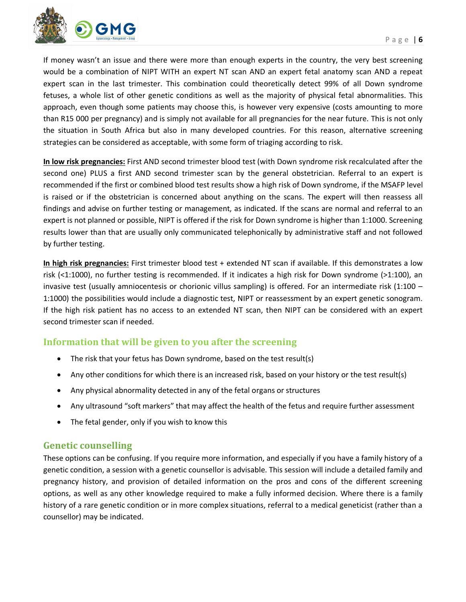

If money wasn't an issue and there were more than enough experts in the country, the very best screening would be a combination of NIPT WITH an expert NT scan AND an expert fetal anatomy scan AND a repeat expert scan in the last trimester. This combination could theoretically detect 99% of all Down syndrome fetuses, a whole list of other genetic conditions as well as the majority of physical fetal abnormalities. This approach, even though some patients may choose this, is however very expensive (costs amounting to more than R15 000 per pregnancy) and is simply not available for all pregnancies for the near future. This is not only the situation in South Africa but also in many developed countries. For this reason, alternative screening strategies can be considered as acceptable, with some form of triaging according to risk.

**In low risk pregnancies:** First AND second trimester blood test (with Down syndrome risk recalculated after the second one) PLUS a first AND second trimester scan by the general obstetrician. Referral to an expert is recommended if the first or combined blood test results show a high risk of Down syndrome, if the MSAFP level is raised or if the obstetrician is concerned about anything on the scans. The expert will then reassess all findings and advise on further testing or management, as indicated. If the scans are normal and referral to an expert is not planned or possible, NIPT is offered if the risk for Down syndrome is higher than 1:1000. Screening results lower than that are usually only communicated telephonically by administrative staff and not followed by further testing.

**In high risk pregnancies:** First trimester blood test + extended NT scan if available. If this demonstrates a low risk (<1:1000), no further testing is recommended. If it indicates a high risk for Down syndrome (>1:100), an invasive test (usually amniocentesis or chorionic villus sampling) is offered. For an intermediate risk (1:100 – 1:1000) the possibilities would include a diagnostic test, NIPT or reassessment by an expert genetic sonogram. If the high risk patient has no access to an extended NT scan, then NIPT can be considered with an expert second trimester scan if needed.

### **Information that will be given to you after the screening**

- The risk that your fetus has Down syndrome, based on the test result(s)
- Any other conditions for which there is an increased risk, based on your history or the test result(s)
- Any physical abnormality detected in any of the fetal organs or structures
- Any ultrasound "soft markers" that may affect the health of the fetus and require further assessment
- The fetal gender, only if you wish to know this

### **Genetic counselling**

These options can be confusing. If you require more information, and especially if you have a family history of a genetic condition, a session with a genetic counsellor is advisable. This session will include a detailed family and pregnancy history, and provision of detailed information on the pros and cons of the different screening options, as well as any other knowledge required to make a fully informed decision. Where there is a family history of a rare genetic condition or in more complex situations, referral to a medical geneticist (rather than a counsellor) may be indicated.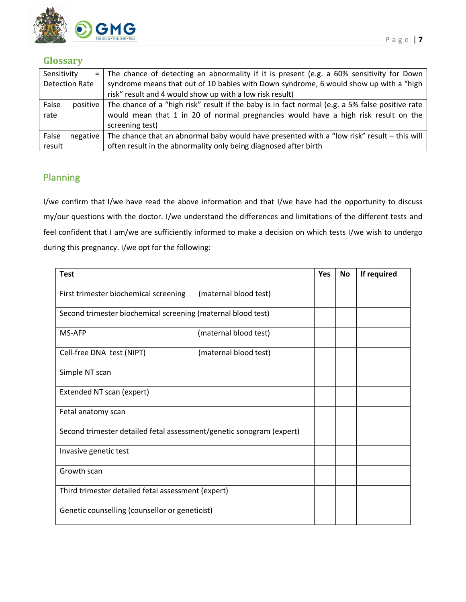

### **Glossary**

| Sensitivity           |                                                          | $=$ The chance of detecting an abnormality if it is present (e.g. a 60% sensitivity for Down    |  |  |
|-----------------------|----------------------------------------------------------|-------------------------------------------------------------------------------------------------|--|--|
| <b>Detection Rate</b> |                                                          | syndrome means that out of 10 babies with Down syndrome, 6 would show up with a "high           |  |  |
|                       | risk" result and 4 would show up with a low risk result) |                                                                                                 |  |  |
| False<br>positive     |                                                          | The chance of a "high risk" result if the baby is in fact normal (e.g. a 5% false positive rate |  |  |
| rate                  |                                                          | would mean that 1 in 20 of normal pregnancies would have a high risk result on the              |  |  |
|                       |                                                          | screening test)                                                                                 |  |  |
| False<br>negative     |                                                          | The chance that an abnormal baby would have presented with a "low risk" result - this will      |  |  |
| result                |                                                          | often result in the abnormality only being diagnosed after birth                                |  |  |

# Planning

I/we confirm that I/we have read the above information and that I/we have had the opportunity to discuss my/our questions with the doctor. I/we understand the differences and limitations of the different tests and feel confident that I am/we are sufficiently informed to make a decision on which tests I/we wish to undergo during this pregnancy. I/we opt for the following:

| <b>Test</b>                                                          |                                                              | <b>Yes</b> | <b>No</b> | If required |
|----------------------------------------------------------------------|--------------------------------------------------------------|------------|-----------|-------------|
| First trimester biochemical screening                                | (maternal blood test)                                        |            |           |             |
|                                                                      | Second trimester biochemical screening (maternal blood test) |            |           |             |
| MS-AFP                                                               | (maternal blood test)                                        |            |           |             |
| Cell-free DNA test (NIPT)                                            | (maternal blood test)                                        |            |           |             |
| Simple NT scan                                                       |                                                              |            |           |             |
| Extended NT scan (expert)                                            |                                                              |            |           |             |
| Fetal anatomy scan                                                   |                                                              |            |           |             |
| Second trimester detailed fetal assessment/genetic sonogram (expert) |                                                              |            |           |             |
| Invasive genetic test                                                |                                                              |            |           |             |
| Growth scan                                                          |                                                              |            |           |             |
| Third trimester detailed fetal assessment (expert)                   |                                                              |            |           |             |
| Genetic counselling (counsellor or geneticist)                       |                                                              |            |           |             |